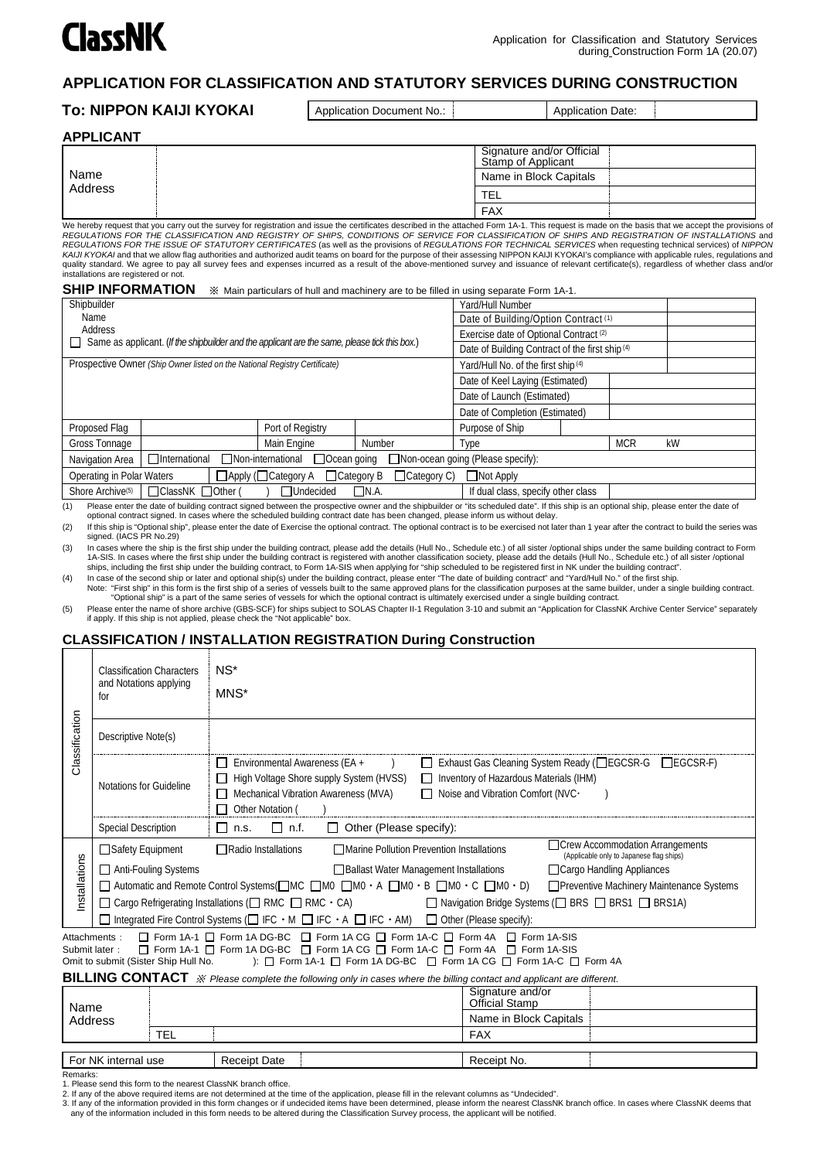

# **APPLICATION FOR CLASSIFICATION AND STATUTORY SERVICES DURING CONSTRUCTION**

## **To: NIPPON KAIJI KYOKAI** Application Document No.: Application Date:

| APPLICANT       |                                                 |
|-----------------|-------------------------------------------------|
|                 | Signature and/or Official<br>Stamp of Applicant |
| Name<br>Address | Name in Block Capitals                          |
|                 | <b>TEL</b>                                      |
|                 | <b>FAX</b>                                      |

We hereby request that you carry out the survey for registration and issue the certificates described in the attached Form 1A-1. This request is made on the basis that we accept the provisions of REGULATIONS FOR THE CLASSIFICATION AND REGISTRY OF SHIPS, CONDITIONS OF SERVICE FOR CLASSIFICATION OF SHIPS AND REGISTRATION OF INSTALLATIONS and<br>REGULATIONS FOR THE ISSUE OF STATUTORY CERTIFICATES (as well as the provisio *KAIJI KYOKAI* and that we allow flag authorizes and authorized audit teams on board for the purpose of their assessing NIPPON KAIJI KYOKAI's compliance with applicable rules, regulations and authorized audit teams on boar quality standard. We agree to pay all survey fees and expenses incurred as a result of the above-mentioned survey and issuance of relevant certificate(s), regardless of whether class and/or installations are registered or not.

|  | SHIP INFORMATION » Main particulars of hull and machinery are to be filled in using separate Form 1A-1. |
|--|---------------------------------------------------------------------------------------------------------|
|--|---------------------------------------------------------------------------------------------------------|

| Shipbuilder                                                                                           |                                                                                                      |                  | Yard/Hull Number                     |                                                 |                                 |            |    |
|-------------------------------------------------------------------------------------------------------|------------------------------------------------------------------------------------------------------|------------------|--------------------------------------|-------------------------------------------------|---------------------------------|------------|----|
| Name                                                                                                  |                                                                                                      |                  | Date of Building/Option Contract (1) |                                                 |                                 |            |    |
| Address                                                                                               |                                                                                                      |                  |                                      | Exercise date of Optional Contract (2)          |                                 |            |    |
|                                                                                                       | $\Box$ Same as applicant. (If the shipbuilder and the applicant are the same, please tick this box.) |                  |                                      | Date of Building Contract of the first ship (4) |                                 |            |    |
|                                                                                                       | Prospective Owner (Ship Owner listed on the National Registry Certificate)                           |                  |                                      | Yard/Hull No. of the first ship (4)             |                                 |            |    |
|                                                                                                       |                                                                                                      |                  |                                      |                                                 | Date of Keel Laying (Estimated) |            |    |
|                                                                                                       |                                                                                                      |                  | Date of Launch (Estimated)           |                                                 |                                 |            |    |
|                                                                                                       |                                                                                                      |                  | Date of Completion (Estimated)       |                                                 |                                 |            |    |
| Proposed Flag                                                                                         |                                                                                                      | Port of Registry |                                      | Purpose of Ship                                 |                                 |            |    |
| Gross Tonnage                                                                                         |                                                                                                      | Main Engine      | Number                               | Type                                            |                                 | <b>MCR</b> | kW |
| $\Box$ International<br>□Non-international<br>$\Box$ Ocean going<br>Navigation Area                   |                                                                                                      |                  | □ Non-ocean going (Please specify):  |                                                 |                                 |            |    |
| $\Box$ Apply ( $\Box$ Category A $\Box$ Category B<br>$\Box$ Category C)<br>Operating in Polar Waters |                                                                                                      | $\Box$ Not Apply |                                      |                                                 |                                 |            |    |
| Shore Archive <sup>(5)</sup>                                                                          | □ ClassNK □ Other (                                                                                  | □Undecided       | $\Box$ N.A.                          | If dual class, specify other class              |                                 |            |    |

(1) Please enter the date of building contract signed between the prospective owner and the shipbuilder or "its scheduled date". If this ship is an optional ship, please enter the date of

optional contract signed. In cases where the scheduled building contract date has been changed, please inform us without delay. (2) If this ship is "Optional ship", please enter the date of Exercise the optional contract. The optional contract is to be exercised not later than 1 year after the contract to build the series was

signed. (IACS PR No.29) (3) In cases where the ship is the first ship under the building contract, please add the details (Hull No., Schedule etc.) of all sister /optional ships under the same building contract to Form 1A-SIS. In cases where the first ship under the building contract is registered with another classification society, please add the details (Hull No., Schedule etc.) of all sister /optional

ships, including the first ship under the building contract, to Form 1A-SIS when applying for "ship scheduled to be registered first in NK under the building contract". 4) In case of the second ship or later and optional ship(s) under the building contract, please enter "The date of building contract" and "Yard/Hull No." of the first ship.<br>Note: "First ship" in this form is the first ship "Optional ship" is a part of the same series of vessels for which the optional contract is ultimately exercised under a single building contract.

(5) Please enter the name of shore archive (GBS-SCF) for ships subject to SOLAS Chapter II-1 Regulation 3-10 and submit an "Application for ClassNK Archive Center Service" separately if apply. If this ship is not applied, please check the "Not applicable" box.

# **CLASSIFICATION / INSTALLATION REGISTRATION During Construction**

|                                                                                                                                                                                                                                                                                                            | <b>Classification Characters</b><br>and Notations applying<br>for                                                                                                                                                                                                                                                                                                                                                                                                                                                                                                                                                                                                                                                               | $NS^*$<br>MNS*                                                                                                                                                                                                                                                                                               |  |  |  |
|------------------------------------------------------------------------------------------------------------------------------------------------------------------------------------------------------------------------------------------------------------------------------------------------------------|---------------------------------------------------------------------------------------------------------------------------------------------------------------------------------------------------------------------------------------------------------------------------------------------------------------------------------------------------------------------------------------------------------------------------------------------------------------------------------------------------------------------------------------------------------------------------------------------------------------------------------------------------------------------------------------------------------------------------------|--------------------------------------------------------------------------------------------------------------------------------------------------------------------------------------------------------------------------------------------------------------------------------------------------------------|--|--|--|
| Classification                                                                                                                                                                                                                                                                                             | Descriptive Note(s)                                                                                                                                                                                                                                                                                                                                                                                                                                                                                                                                                                                                                                                                                                             |                                                                                                                                                                                                                                                                                                              |  |  |  |
|                                                                                                                                                                                                                                                                                                            | Notations for Guideline                                                                                                                                                                                                                                                                                                                                                                                                                                                                                                                                                                                                                                                                                                         | Environmental Awareness (EA +<br>□ Exhaust Gas Cleaning System Ready (□EGCSR-G □EGCSR-F)<br>П<br>High Voltage Shore supply System (HVSS)<br>Inventory of Hazardous Materials (IHM)<br>П<br>$\Box$<br>Mechanical Vibration Awareness (MVA)<br>Noise and Vibration Comfort (NVC·<br>$\Box$<br>Other Notation ( |  |  |  |
|                                                                                                                                                                                                                                                                                                            | <b>Special Description</b>                                                                                                                                                                                                                                                                                                                                                                                                                                                                                                                                                                                                                                                                                                      | $\Box$ n.f.<br>$\Box$ Other (Please specify):<br>$\Box$ n.s.                                                                                                                                                                                                                                                 |  |  |  |
| nstallations                                                                                                                                                                                                                                                                                               | □ Crew Accommodation Arrangements<br>$\Box$ Radio Installations<br>□ Marine Pollution Prevention Installations<br>(Applicable only to Japanese flag ships)<br>□ Cargo Handling Appliances<br><b>Ballast Water Management Installations</b><br>$\Box$ Automatic and Remote Control Systems( $\Box$ MC $\Box$ MO $\Box$ MO $\cdot$ A $\Box$ MO $\cdot$ B $\Box$ MO $\cdot$ C $\Box$ MO $\cdot$ D)<br>□ Preventive Machinery Maintenance Systems<br>$\Box$ Cargo Refrigerating Installations ( $\Box$ RMC $\Box$ RMC $\cdot$ CA)<br>□ Navigation Bridge Systems (□ BRS □ BRS1 □ BRS1A)<br>$\Box$ Integrated Fire Control Systems ( $\Box$ IFC $\cdot$ M $\Box$ IFC $\cdot$ A $\Box$ IFC $\cdot$ AM) $\Box$ Other (Please specify): |                                                                                                                                                                                                                                                                                                              |  |  |  |
| □ Form 1A-1 □ Form 1A DG-BC □ Form 1A CG □ Form 1A-C □ Form 4A □ Form 1A-SIS<br>Attachments:<br>□ Form 1A-1 □ Form 1A DG-BC □ Form 1A CG □ Form 1A-C □ Form 4A □ Form 1A-SIS<br>Submit later:<br>): □ Form 1A-1 □ Form 1A DG-BC □ Form 1A CG □ Form 1A-C □ Form 4A<br>Omit to submit (Sister Ship Hull No. |                                                                                                                                                                                                                                                                                                                                                                                                                                                                                                                                                                                                                                                                                                                                 |                                                                                                                                                                                                                                                                                                              |  |  |  |
|                                                                                                                                                                                                                                                                                                            |                                                                                                                                                                                                                                                                                                                                                                                                                                                                                                                                                                                                                                                                                                                                 | BILLING CONTACT » Please complete the following only in cases where the billing contact and applicant are different.<br>Signature and/or                                                                                                                                                                     |  |  |  |
| Name                                                                                                                                                                                                                                                                                                       |                                                                                                                                                                                                                                                                                                                                                                                                                                                                                                                                                                                                                                                                                                                                 | Official Stamp<br>Name in Block Capitals                                                                                                                                                                                                                                                                     |  |  |  |
|                                                                                                                                                                                                                                                                                                            | Address<br><b>TEL</b>                                                                                                                                                                                                                                                                                                                                                                                                                                                                                                                                                                                                                                                                                                           | <b>FAX</b>                                                                                                                                                                                                                                                                                                   |  |  |  |
|                                                                                                                                                                                                                                                                                                            |                                                                                                                                                                                                                                                                                                                                                                                                                                                                                                                                                                                                                                                                                                                                 |                                                                                                                                                                                                                                                                                                              |  |  |  |

Remarks:

1. Please send this form to the nearest ClassNK branch office.

2. If any of the above required items are not determined at the time of the application, please fill in the relevant columns as "Undecided".

For NK internal use Receipt Date Receipt No.

3. If any of the information provided in this form changes or if undecided items have been determined, please inform the nearest ClassNK branch office. In cases where ClassNK deems that any of the information included in this form needs to be altered during the Classification Survey process, the applicant will be notified.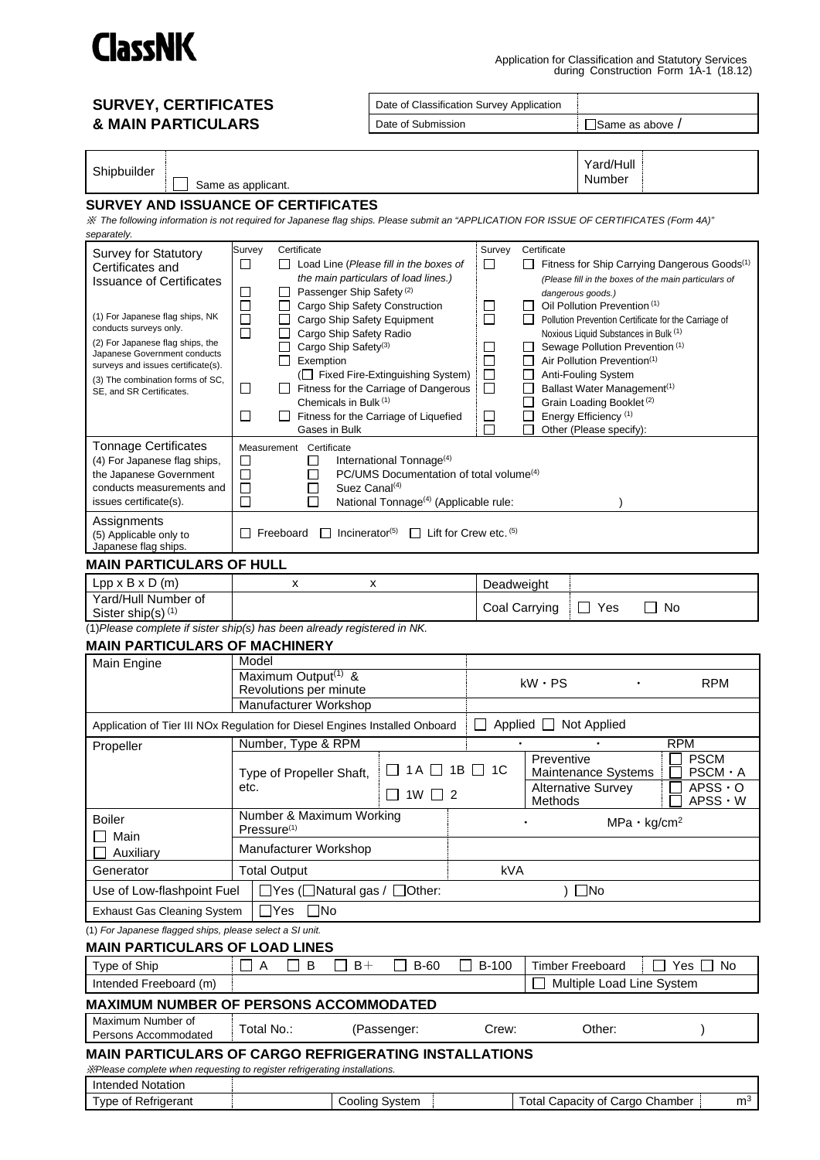

# **SURVEY, CERTIFICATES & MAIN PARTICULARS**

Date of Classification Survey Application

Date of Submission Submission Submission Submission Submission Submission Submission Submission Submission Submission

Shipbuilder

 $\mathbf{1}$ Same as applicant. Yard/Hull

Number

### **SURVEY AND ISSUANCE OF CERTIFICATES**

※ *The following information is not required for Japanese flag ships. Please submit an "APPLICATION FOR ISSUE OF CERTIFICATES (Form 4A)" separately.*

| <b>Survey for Statutory</b>                              | Survey<br>Certificate                                                         | Survey<br>Certificate                                                                           |
|----------------------------------------------------------|-------------------------------------------------------------------------------|-------------------------------------------------------------------------------------------------|
| Certificates and                                         | $\Box$<br>⊔<br>Load Line (Please fill in the boxes of                         | $\Box$<br>Fitness for Ship Carrying Dangerous Goods <sup>(1)</sup>                              |
| <b>Issuance of Certificates</b>                          | the main particulars of load lines.)                                          | (Please fill in the boxes of the main particulars of                                            |
|                                                          | □<br>Passenger Ship Safety <sup>(2)</sup><br>ப                                | dangerous goods.)                                                                               |
| (1) For Japanese flag ships, NK                          | □<br>Cargo Ship Safety Construction<br>ப                                      | Oil Pollution Prevention (1)<br>ப<br>ப                                                          |
| conducts surveys only.                                   | □<br>Cargo Ship Safety Equipment<br>$\mathsf{L}$                              | П<br>Pollution Prevention Certificate for the Carriage of                                       |
| (2) For Japanese flag ships, the                         | $\Box$<br>Cargo Ship Safety Radio<br>ப                                        | Noxious Liquid Substances in Bulk (1)                                                           |
| Japanese Government conducts                             | Cargo Ship Safety <sup>(3)</sup><br>Exemption<br>$\mathsf{L}$                 | Sewage Pollution Prevention (1)<br>⊔<br>Air Pollution Prevention <sup>(1)</sup><br>⊔<br>$\perp$ |
| surveys and issues certificate(s).                       | ( $\Box$ Fixed Fire-Extinguishing System)                                     | □<br>Anti-Fouling System<br>$\Box$                                                              |
| (3) The combination forms of SC,                         | Fitness for the Carriage of Dangerous<br>ப                                    | П<br>Ballast Water Management <sup>(1)</sup>                                                    |
| SE, and SR Certificates.                                 | Chemicals in Bulk (1)                                                         | Grain Loading Booklet <sup>(2)</sup>                                                            |
|                                                          | □<br>Fitness for the Carriage of Liquefied<br>$\mathsf{L}$                    | Energy Efficiency <sup>(1)</sup><br>□                                                           |
|                                                          | Gases in Bulk                                                                 | Other (Please specify):                                                                         |
| <b>Tonnage Certificates</b>                              | Measurement Certificate                                                       |                                                                                                 |
| (4) For Japanese flag ships,                             | International Tonnage <sup>(4)</sup><br>$\Box$<br>ப                           |                                                                                                 |
| the Japanese Government                                  | PC/UMS Documentation of total volume <sup>(4)</sup><br>$\Box$<br>$\mathbf{L}$ |                                                                                                 |
| conducts measurements and                                | □<br>Suez Canal <sup>(4)</sup><br>$\overline{\phantom{a}}$                    |                                                                                                 |
| issues certificate(s).                                   | □<br>National Tonnage <sup>(4)</sup> (Applicable rule:                        |                                                                                                 |
| Assignments                                              |                                                                               |                                                                                                 |
| (5) Applicable only to                                   | $\Box$ Incinerator <sup>(5)</sup><br>Freeboard                                | $\Box$ Lift for Crew etc. (5)                                                                   |
| Japanese flag ships.                                     |                                                                               |                                                                                                 |
| <b>MAIN PARTICULARS OF HULL</b>                          |                                                                               |                                                                                                 |
| $Lpp \times B \times D$ (m)                              | x<br>x                                                                        | Deadweight                                                                                      |
| Yard/Hull Number of                                      |                                                                               | No                                                                                              |
| Sister ship(s) <sup>(1)</sup>                            |                                                                               | Coal Carrying<br>Yes                                                                            |
|                                                          | $(1)$ Please complete if sister ship(s) has been already registered in NK.    |                                                                                                 |
| <b>MAIN PARTICULARS OF MACHINERY</b>                     |                                                                               |                                                                                                 |
| Main Engine                                              | Model                                                                         |                                                                                                 |
|                                                          | Maximum Output <sup>(1)</sup> &                                               | $kW \cdot PS$<br><b>RPM</b>                                                                     |
|                                                          | Revolutions per minute                                                        |                                                                                                 |
|                                                          | Manufacturer Workshop                                                         |                                                                                                 |
|                                                          | Application of Tier III NOx Regulation for Diesel Engines Installed Onboard   | Applied □ Not Applied                                                                           |
| Propeller                                                | Number, Type & RPM                                                            | <b>RPM</b>                                                                                      |
|                                                          |                                                                               | <b>PSCM</b><br>Preventive                                                                       |
|                                                          | Type of Propeller Shaft,                                                      | $1A \Box 1B \Box 1C$<br>$PSCM \cdot A$<br>Maintenance Systems                                   |
|                                                          | etc.<br>$1W \Box 2$                                                           | <b>Alternative Survey</b><br>$APSS \cdot O$                                                     |
|                                                          |                                                                               | $APSS \cdot W$<br>Methods                                                                       |
| <b>Boiler</b>                                            | Number & Maximum Working                                                      | $MPa \cdot kg/cm^2$                                                                             |
| Main                                                     | Pressure <sup>(1)</sup>                                                       |                                                                                                 |
| Auxiliary                                                | Manufacturer Workshop                                                         |                                                                                                 |
| Generator                                                | <b>Total Output</b>                                                           | kVA                                                                                             |
| Use of Low-flashpoint Fuel                               | ]Yes (□Natural gas / □Other:                                                  | $\Box$ No                                                                                       |
| <b>Exhaust Gas Cleaning System</b>                       | $\Box$ No<br>$\sqcup$ Yes                                                     |                                                                                                 |
| (1) For Japanese flagged ships, please select a SI unit. |                                                                               |                                                                                                 |
| <b>MAIN PARTICULARS OF LOAD LINES</b>                    |                                                                               |                                                                                                 |
| Type of Ship                                             | A<br>В<br>$B+$<br>$B-60$                                                      | <b>B-100</b><br><b>Timber Freeboard</b><br>Yes $\Box$<br>No                                     |
| Intended Freeboard (m)                                   |                                                                               | Multiple Load Line System                                                                       |
|                                                          |                                                                               |                                                                                                 |
|                                                          | <b>MAXIMUM NUMBER OF PERSONS ACCOMMODATED</b>                                 |                                                                                                 |
| Maximum Number of<br>Persons Accommodated                | Total No.:<br>(Passenger:                                                     | Other:<br>Crew:                                                                                 |
|                                                          | <b>MAIN PARTICULARS OF CARGO REFRIGERATING INSTALLATIONS</b>                  |                                                                                                 |
|                                                          | XPlease complete when requesting to register refrigerating installations.     |                                                                                                 |
| <b>Intended Notation</b>                                 |                                                                               |                                                                                                 |
| Type of Refrigerant                                      | Cooling System                                                                | m <sup>3</sup><br>Total Capacity of Cargo Chamber                                               |
|                                                          |                                                                               |                                                                                                 |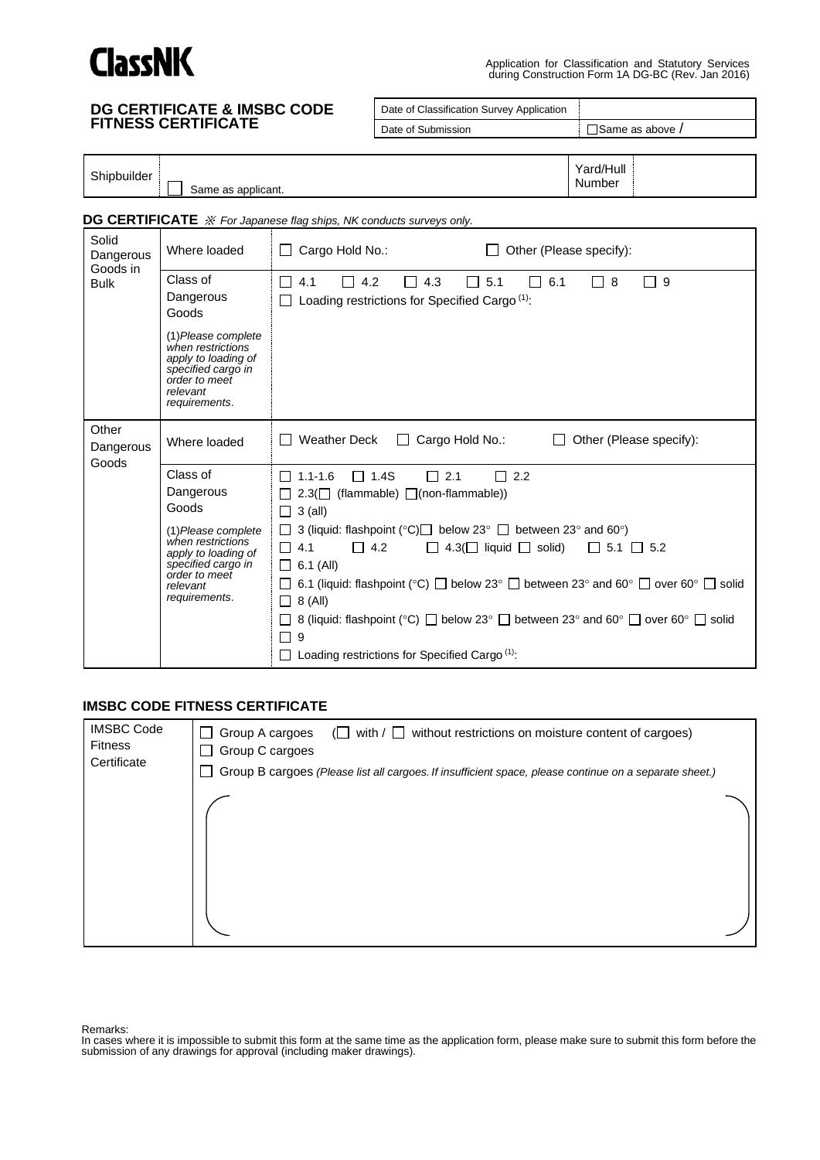

Application for Classification and Statutory Services during Construction Form 1A DG-BC (Rev. Jan 2016)

| <b>DG CERTIFICATE &amp; IMSBC CODE<br/>FITNESS CERTIFICATE</b> |                                                                                                                                                                       |                                                                                                            | Date of Classification Survey Application                                                                                                                                                                                                                                                                                                                                                                                                                                                           |                         |
|----------------------------------------------------------------|-----------------------------------------------------------------------------------------------------------------------------------------------------------------------|------------------------------------------------------------------------------------------------------------|-----------------------------------------------------------------------------------------------------------------------------------------------------------------------------------------------------------------------------------------------------------------------------------------------------------------------------------------------------------------------------------------------------------------------------------------------------------------------------------------------------|-------------------------|
|                                                                |                                                                                                                                                                       |                                                                                                            | Date of Submission                                                                                                                                                                                                                                                                                                                                                                                                                                                                                  | □Same as above /        |
|                                                                |                                                                                                                                                                       |                                                                                                            |                                                                                                                                                                                                                                                                                                                                                                                                                                                                                                     |                         |
| Shipbuilder                                                    | Same as applicant.                                                                                                                                                    |                                                                                                            |                                                                                                                                                                                                                                                                                                                                                                                                                                                                                                     | Yard/Hull<br>Number     |
|                                                                | DG CERTIFICATE $\mathcal X$ For Japanese flag ships, NK conducts surveys only.                                                                                        |                                                                                                            |                                                                                                                                                                                                                                                                                                                                                                                                                                                                                                     |                         |
| Solid<br>Dangerous<br>Goods in                                 | Where loaded                                                                                                                                                          | Cargo Hold No.:                                                                                            | Other (Please specify):                                                                                                                                                                                                                                                                                                                                                                                                                                                                             |                         |
| <b>Bulk</b>                                                    | Class of<br>Dangerous<br>Goods<br>(1) Please complete<br>when restrictions<br>apply to loading of<br>specified cargo in<br>order to meet<br>relevant<br>requirements. | 4.1<br>4.2<br>П                                                                                            | $\Box$ 4.3<br>5.1<br>$\Box$ 6.1<br>$\mathbf{L}$<br>Loading restrictions for Specified Cargo <sup>(1)</sup> :                                                                                                                                                                                                                                                                                                                                                                                        | $\Box$ 8<br>ヿ 9         |
| Other<br>Dangerous                                             | Where loaded                                                                                                                                                          | <b>Weather Deck</b>                                                                                        | Cargo Hold No.:<br>$\perp$<br>$\Box$                                                                                                                                                                                                                                                                                                                                                                                                                                                                | Other (Please specify): |
| Goods                                                          | Class of<br>Dangerous<br>Goods<br>(1) Please complete<br>when restrictions<br>apply to loading of<br>specified cargo in<br>order to meet<br>relevant<br>requirements. | $\Box$ 1.1-1.6<br>$\Box$ 3 (all)<br>4.1<br>$\Box$ 4.2<br>$\Box$ 6.1 (All)<br>$\Box$ 8 (All)<br>ப<br>9<br>П | $\Box$ 1.4S<br>$\Box$ 2.1<br>$\Box$ 2.2<br>$2.3(\Box$ (flammable) $\Box$ (non-flammable))<br>3 (liquid: flashpoint (°C) $\Box$ below 23° $\Box$ between 23° and 60°)<br>$\Box$ 4.3( $\Box$ liquid $\Box$ solid)<br>6.1 (liquid: flashpoint (°C) $\Box$ below 23° $\Box$ between 23° and 60° $\Box$ over 60° $\Box$ solid<br>8 (liquid: flashpoint (°C) $\Box$ below 23° $\Box$ between 23° and 60° $\Box$ over 60° $\Box$ solid<br>$\Box$ Loading restrictions for Specified Cargo <sup>(1)</sup> : | $\Box$ 5.1 $\Box$ 5.2   |

# **IMSBC CODE FITNESS CERTIFICATE**

| <b>IMSBC Code</b><br><b>Fitness</b><br>Certificate | Group A cargoes<br>without restrictions on moisture content of cargoes)<br>with $/ \bigsqcup$<br>$(1 \; 1)$<br>Group C cargoes<br>Group B cargoes (Please list all cargoes. If insufficient space, please continue on a separate sheet.) |  |
|----------------------------------------------------|------------------------------------------------------------------------------------------------------------------------------------------------------------------------------------------------------------------------------------------|--|
|                                                    |                                                                                                                                                                                                                                          |  |
|                                                    |                                                                                                                                                                                                                                          |  |

Remarks:

In cases where it is impossible to submit this form at the same time as the application form, please make sure to submit this form before the submission of any drawings for approval (including maker drawings).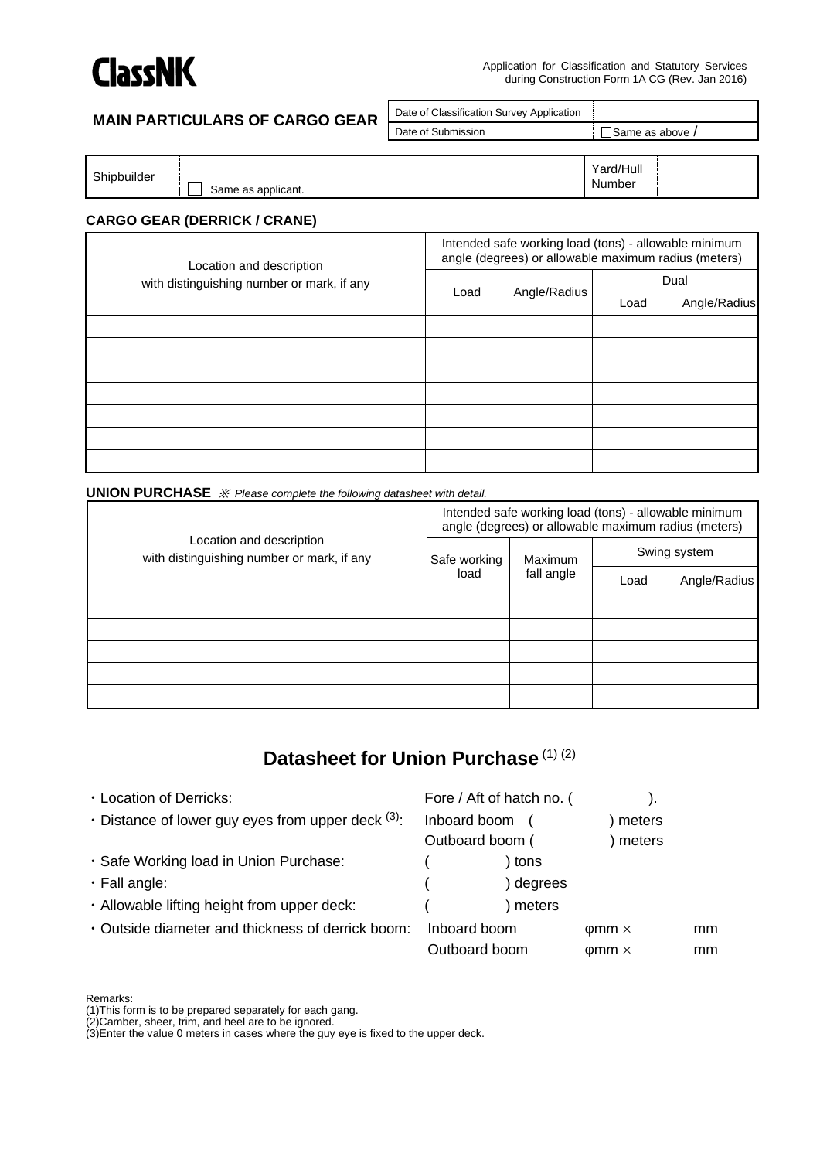

# **MAIN PARTICULARS OF CARGO GEAR**

| Date of Classification Survey Application |                        |
|-------------------------------------------|------------------------|
| Date of Submission                        | $\Box$ Same as above / |
|                                           |                        |

| Shipbuilder | Same as applicant. | Yard/Hull<br>Number |  |
|-------------|--------------------|---------------------|--|
|             |                    |                     |  |

# **CARGO GEAR (DERRICK / CRANE)**

| Location and description<br>with distinguishing number or mark, if any | Intended safe working load (tons) - allowable minimum<br>angle (degrees) or allowable maximum radius (meters) |              |      |              |
|------------------------------------------------------------------------|---------------------------------------------------------------------------------------------------------------|--------------|------|--------------|
|                                                                        |                                                                                                               | Angle/Radius | Dual |              |
|                                                                        | Load                                                                                                          |              | Load | Angle/Radius |
|                                                                        |                                                                                                               |              |      |              |
|                                                                        |                                                                                                               |              |      |              |
|                                                                        |                                                                                                               |              |      |              |
|                                                                        |                                                                                                               |              |      |              |
|                                                                        |                                                                                                               |              |      |              |
|                                                                        |                                                                                                               |              |      |              |
|                                                                        |                                                                                                               |              |      |              |

**UNION PURCHASE** ※ *Please complete the following datasheet with detail.*

| Location and description<br>with distinguishing number or mark, if any | Intended safe working load (tons) - allowable minimum<br>angle (degrees) or allowable maximum radius (meters) |            |              |              |  |
|------------------------------------------------------------------------|---------------------------------------------------------------------------------------------------------------|------------|--------------|--------------|--|
|                                                                        | Safe working<br>load                                                                                          | Maximum    | Swing system |              |  |
|                                                                        |                                                                                                               | fall angle | Load         | Angle/Radius |  |
|                                                                        |                                                                                                               |            |              |              |  |
|                                                                        |                                                                                                               |            |              |              |  |
|                                                                        |                                                                                                               |            |              |              |  |
|                                                                        |                                                                                                               |            |              |              |  |
|                                                                        |                                                                                                               |            |              |              |  |

# **Datasheet for Union Purchase** (1) (2)

| • Location of Derricks:                                    | Fore / Aft of hatch no. ( |                    |    |
|------------------------------------------------------------|---------------------------|--------------------|----|
| $\cdot$ Distance of lower guy eyes from upper deck $(3)$ . | Inboard boom              | meters             |    |
|                                                            | Outboard boom (           | meters             |    |
| · Safe Working load in Union Purchase:                     | tons                      |                    |    |
| $\cdot$ Fall angle:                                        | degrees                   |                    |    |
| . Allowable lifting height from upper deck:                | meters                    |                    |    |
| • Outside diameter and thickness of derrick boom:          | Inboard boom              | $\phi$ mm $\times$ | mm |
|                                                            | Outboard boom             | $\phi$ mm $\times$ | mm |

Remarks:

(1)This form is to be prepared separately for each gang.

(2)Camber, sheer, trim, and heel are to be ignored.

(3)Enter the value 0 meters in cases where the guy eye is fixed to the upper deck.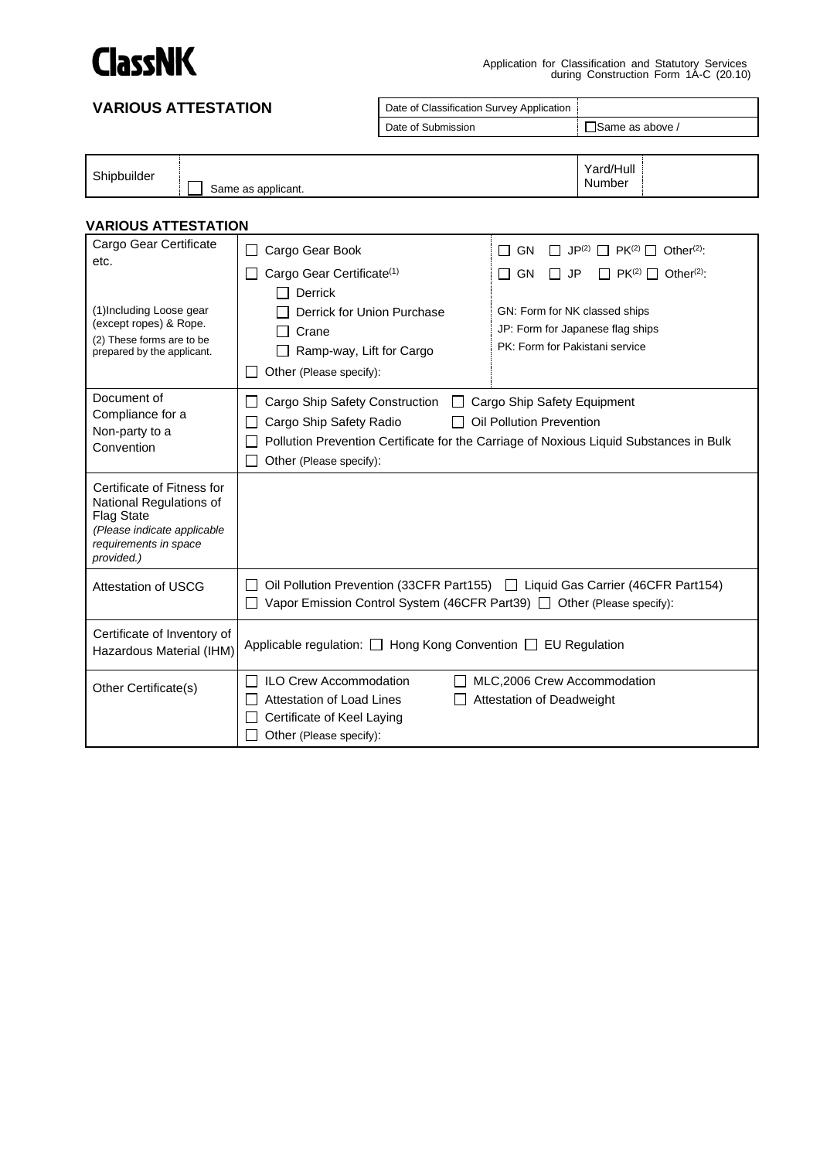

#### **VARIOUS ATTESTATION** Date of Classification Survey Application Date of Submission Submission Submission Submission Submission Submission Submission Submission Submission Submission Shipbuilder Same as applicant. Yard/Hull Number **VARIOUS ATTESTATION** Cargo Gear Certificate etc. (1)Including Loose gear (except ropes) & Rope. (2) These forms are to be prepared by the applicant. □ Cargo Gear Book  $\Box$  Cargo Gear Certificate<sup>(1)</sup> Derrick □ Derrick for Union Purchase  $\Box$  Crane Ramp-way, Lift for Cargo  $\Box$  Other (Please specify):  $\Box$  GN  $\Box$  JP<sup>(2)</sup>  $\Box$  PK<sup>(2)</sup>  $\Box$  Other<sup>(2)</sup>:  $\Box$  GN  $\Box$  JP  $\Box$  PK<sup>(2)</sup>  $\Box$  Other<sup>(2)</sup>: GN: Form for NK classed ships JP: Form for Japanese flag ships PK: Form for Pakistani service Document of Compliance for a Non-party to a Convention  $\Box$  Cargo Ship Safety Construction  $\Box$  Cargo Ship Safety Equipment □ Cargo Ship Safety Radio □ Oil Pollution Prevention □ Pollution Prevention Certificate for the Carriage of Noxious Liquid Substances in Bulk Other (Please specify): Certificate of Fitness for National Regulations of Flag State *(Please indicate applicable requirements in space provided.)* Attestation of USCG <u>Decamble Oil Pollution Prevention</u> (33CFR Part155) Del Liquid Gas Carrier (46CFR Part154)  $\Box$  Vapor Emission Control System (46CFR Part39)  $\Box$  Other (Please specify): Certificate of Inventory of Bermisate of inventory of Applicable regulation: □ Hong Kong Convention □ EU Regulation

Other Certificate(s)  $\Box$  ILO Crew Accommodation  $\Box$  MLC,2006 Crew Accommodation  $\Box$  Attestation of Deadweight  $\Box$  Attestation of Deadweight Certificate of Keel Laying Other (Please specify):